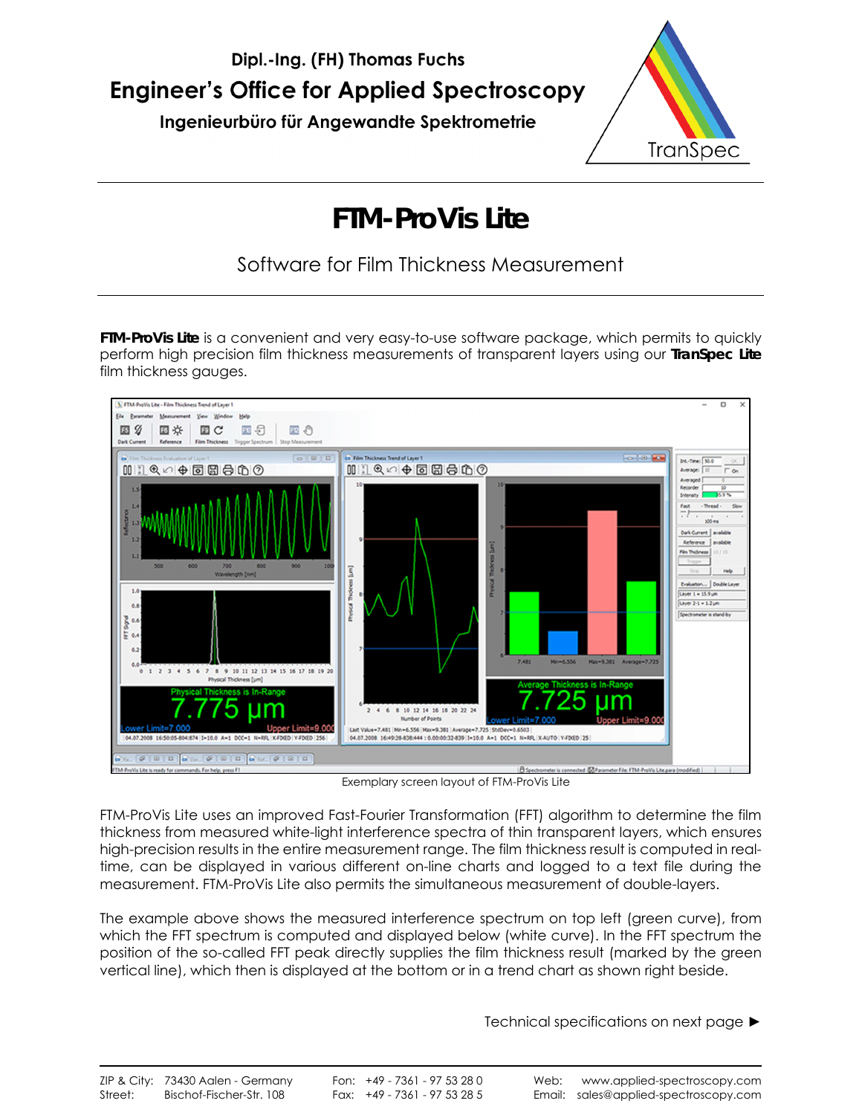



# **FTM-ProVis Lite**

Software for Film Thickness Measurement

**FTM-ProVis Lite** is a convenient and very easy-to-use software package, which permits to quickly perform high precision film thickness measurements of transparent layers using our **TranSpec Lite**  film thickness gauges.



Exemplary screen layout of FTM-ProVis Lite

FTM-ProVis Lite uses an improved Fast-Fourier Transformation (FFT) algorithm to determine the film thickness from measured white-light interference spectra of thin transparent layers, which ensures high-precision results in the entire measurement range. The film thickness result is computed in realtime, can be displayed in various different on-line charts and logged to a text file during the measurement. FTM-ProVis Lite also permits the simultaneous measurement of double-layers.

The example above shows the measured interference spectrum on top left (green curve), from which the FFT spectrum is computed and displayed below (white curve). In the FFT spectrum the position of the so-called FFT peak directly supplies the film thickness result (marked by the green vertical line), which then is displayed at the bottom or in a trend chart as shown right beside.

Technical specifications on next page ►